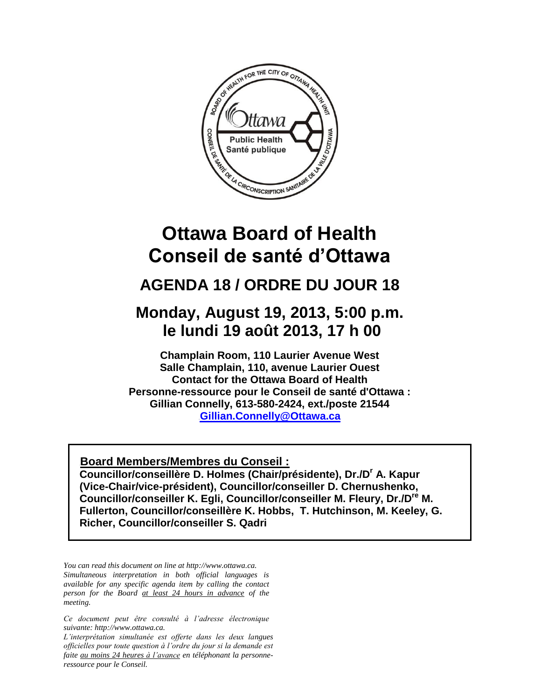

# **Conseil de santé d'Ottawa**

## **AGENDA 18 / ORDRE DU JOUR 18**

## **Monday, August 19, 2013, 5:00 p.m. le lundi 19 août 2013, 17 h 00**

**Champlain Room, 110 Laurier Avenue West Salle Champlain, 110, avenue Laurier Ouest Contact for the Ottawa Board of Health Personne-ressource pour le Conseil de santé d'Ottawa : Gillian Connelly, 613-580-2424, ext./poste 21544 [Gillian.Connelly@Ottawa.ca](mailto:UGillian.Connelly@Ottawa.ca)** 

#### <sup>U</sup>**Board Members/Membres du Conseil :**

**Councillor/conseillère D. Holmes (Chair/présidente), Dr./D<sup>r</sup> A. Kapur (Vice-Chair/vice-président), Councillor/conseiller D. Chernushenko, Councillor/conseiller K. Egli, Councillor/conseiller M. Fleury, Dr./Dre M. Fullerton, Councillor/conseillère K. Hobbs, T. Hutchinson, M. Keeley, G. Richer, Councillor/conseiller S. Qadri**

*You can read this document on line at http://www.ottawa.ca. Simultaneous interpretation in both official languages is available for any specific agenda item by calling the contact person for the Board at least 24 hours in advance of the meeting.*

*Ce document peut être consulté à l'adresse électronique suivante: http://www.ottawa.ca.*

*L'interprétation simultanée est offerte dans les deux langues officielles pour toute question à l'ordre du jour si la demande est faite au moins 24 heures à l'avance en téléphonant la personneressource pour le Conseil.*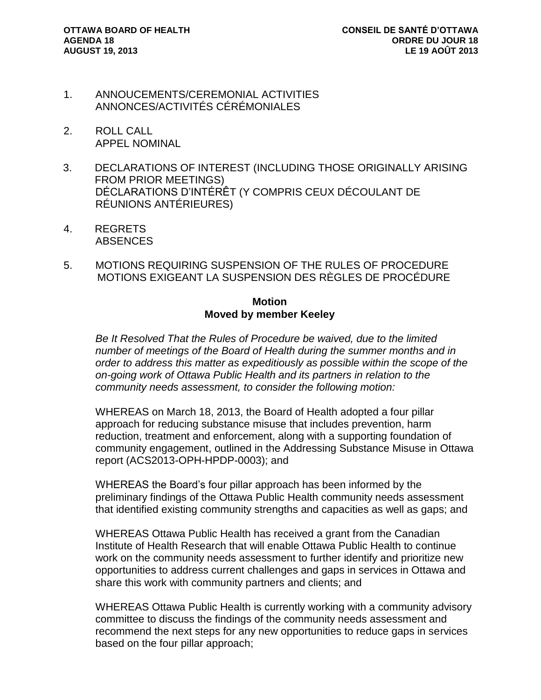- 1. ANNOUCEMENTS/CEREMONIAL ACTIVITIES ANNONCES/ACTIVITÉS CÉRÉMONIALES
- 2. ROLL CALL APPEL NOMINAL
- 3. DECLARATIONS OF INTEREST (INCLUDING THOSE ORIGINALLY ARISING FROM PRIOR MEETINGS) DÉCLARATIONS D'INTÉRÊT (Y COMPRIS CEUX DÉCOULANT DE RÉUNIONS ANTÉRIEURES)
- 4. REGRETS ABSENCES
- 5. MOTIONS REQUIRING SUSPENSION OF THE RULES OF PROCEDURE MOTIONS EXIGEANT LA SUSPENSION DES RÈGLES DE PROCÉDURE

#### **Motion Moved by member Keeley**

*Be It Resolved That the Rules of Procedure be waived, due to the limited number of meetings of the Board of Health during the summer months and in order to address this matter as expeditiously as possible within the scope of the on-going work of Ottawa Public Health and its partners in relation to the community needs assessment, to consider the following motion:* 

WHEREAS on March 18, 2013, the Board of Health adopted a four pillar approach for reducing substance misuse that includes prevention, harm reduction, treatment and enforcement, along with a supporting foundation of community engagement, outlined in the Addressing Substance Misuse in Ottawa report (ACS2013-OPH-HPDP-0003); and

WHEREAS the Board's four pillar approach has been informed by the preliminary findings of the Ottawa Public Health community needs assessment that identified existing community strengths and capacities as well as gaps; and

WHEREAS Ottawa Public Health has received a grant from the Canadian Institute of Health Research that will enable Ottawa Public Health to continue work on the community needs assessment to further identify and prioritize new opportunities to address current challenges and gaps in services in Ottawa and share this work with community partners and clients; and

WHEREAS Ottawa Public Health is currently working with a community advisory committee to discuss the findings of the community needs assessment and recommend the next steps for any new opportunities to reduce gaps in services based on the four pillar approach;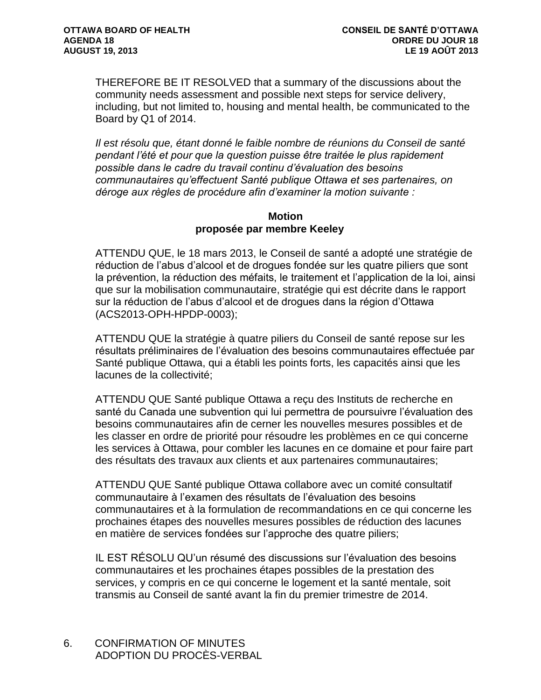THEREFORE BE IT RESOLVED that a summary of the discussions about the community needs assessment and possible next steps for service delivery, including, but not limited to, housing and mental health, be communicated to the Board by Q1 of 2014.

*Il est résolu que, étant donné le faible nombre de réunions du Conseil de santé pendant l'été et pour que la question puisse être traitée le plus rapidement possible dans le cadre du travail continu d'évaluation des besoins communautaires qu'effectuent Santé publique Ottawa et ses partenaires, on déroge aux règles de procédure afin d'examiner la motion suivante :* 

#### **Motion proposée par membre Keeley**

ATTENDU QUE, le 18 mars 2013, le Conseil de santé a adopté une stratégie de réduction de l'abus d'alcool et de drogues fondée sur les quatre piliers que sont la prévention, la réduction des méfaits, le traitement et l'application de la loi, ainsi que sur la mobilisation communautaire, stratégie qui est décrite dans le rapport sur la réduction de l'abus d'alcool et de drogues dans la région d'Ottawa (ACS2013-OPH-HPDP-0003);

ATTENDU QUE la stratégie à quatre piliers du Conseil de santé repose sur les résultats préliminaires de l'évaluation des besoins communautaires effectuée par Santé publique Ottawa, qui a établi les points forts, les capacités ainsi que les lacunes de la collectivité;

ATTENDU QUE Santé publique Ottawa a reçu des Instituts de recherche en santé du Canada une subvention qui lui permettra de poursuivre l'évaluation des besoins communautaires afin de cerner les nouvelles mesures possibles et de les classer en ordre de priorité pour résoudre les problèmes en ce qui concerne les services à Ottawa, pour combler les lacunes en ce domaine et pour faire part des résultats des travaux aux clients et aux partenaires communautaires;

ATTENDU QUE Santé publique Ottawa collabore avec un comité consultatif communautaire à l'examen des résultats de l'évaluation des besoins communautaires et à la formulation de recommandations en ce qui concerne les prochaines étapes des nouvelles mesures possibles de réduction des lacunes en matière de services fondées sur l'approche des quatre piliers;

IL EST RÉSOLU QU'un résumé des discussions sur l'évaluation des besoins communautaires et les prochaines étapes possibles de la prestation des services, y compris en ce qui concerne le logement et la santé mentale, soit transmis au Conseil de santé avant la fin du premier trimestre de 2014.

6. CONFIRMATION OF MINUTES ADOPTION DU PROCÈS-VERBAL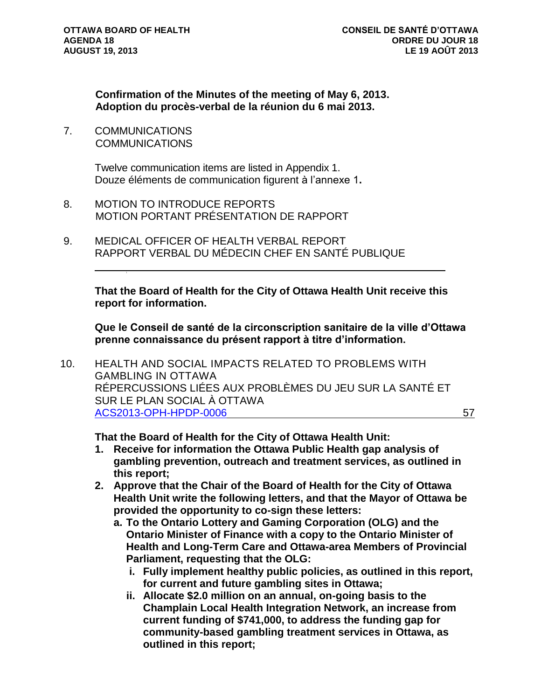**Confirmation of the Minutes of the meeting of May 6, 2013. Adoption du procès-verbal de la réunion du 6 mai 2013.** 

7. COMMUNICATIONS **COMMUNICATIONS** 

> Twelve communication items are listed in Appendix 1. Douze éléments de communication figurent à l'annexe 1**.**

- 8. MOTION TO INTRODUCE REPORTS MOTION PORTANT PRÉSENTATION DE RAPPORT
- 9. MEDICAL OFFICER OF HEALTH VERBAL REPORT RAPPORT VERBAL DU MÉDECIN CHEF EN SANTÉ PUBLIQUE

**That the Board of Health for the City of Ottawa Health Unit receive this report for information.** 

**Que le Conseil de santé de la circonscription sanitaire de la ville d'Ottawa prenne connaissance du présent rapport à titre d'information.**

10. HEALTH AND SOCIAL IMPACTS RELATED TO PROBLEMS WITH GAMBLING IN OTTAWA RÉPERCUSSIONS LIÉES AUX PROBLÈMES DU JEU SUR LA SANTÉ ET SUR LE PLAN SOCIAL À OTTAWA [ACS2013-OPH-HPDP-0006](http://ottawa.ca/calendar/ottawa/citycouncil/obh/2013/08-19/BOH_Gambling_Report_FINAL.pdf) 57

**That the Board of Health for the City of Ottawa Health Unit:**

- **1. Receive for information the Ottawa Public Health gap analysis of gambling prevention, outreach and treatment services, as outlined in this report;**
- **2. Approve that the Chair of the Board of Health for the City of Ottawa Health Unit write the following letters, and that the Mayor of Ottawa be provided the opportunity to co-sign these letters:**
	- **a. To the Ontario Lottery and Gaming Corporation (OLG) and the Ontario Minister of Finance with a copy to the Ontario Minister of Health and Long-Term Care and Ottawa-area Members of Provincial Parliament, requesting that the OLG:**
		- **i. Fully implement healthy public policies, as outlined in this report, for current and future gambling sites in Ottawa;**
		- **ii. Allocate \$2.0 million on an annual, on-going basis to the Champlain Local Health Integration Network, an increase from current funding of \$741,000, to address the funding gap for community-based gambling treatment services in Ottawa, as outlined in this report;**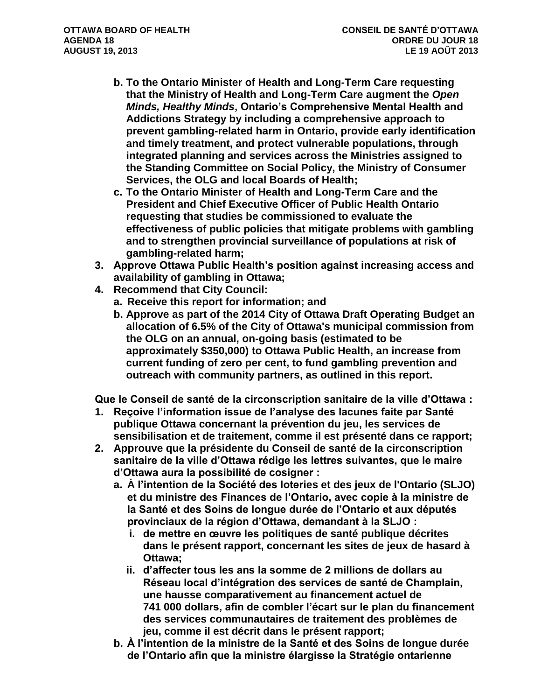- **b. To the Ontario Minister of Health and Long-Term Care requesting that the Ministry of Health and Long-Term Care augment the** *Open Minds, Healthy Minds***, Ontario's Comprehensive Mental Health and Addictions Strategy by including a comprehensive approach to prevent gambling-related harm in Ontario, provide early identification and timely treatment, and protect vulnerable populations, through integrated planning and services across the Ministries assigned to the Standing Committee on Social Policy, the Ministry of Consumer Services, the OLG and local Boards of Health;**
- **c. To the Ontario Minister of Health and Long-Term Care and the President and Chief Executive Officer of Public Health Ontario requesting that studies be commissioned to evaluate the effectiveness of public policies that mitigate problems with gambling and to strengthen provincial surveillance of populations at risk of gambling-related harm;**
- **3. Approve Ottawa Public Health's position against increasing access and availability of gambling in Ottawa;**
- **4. Recommend that City Council:**
	- **a. Receive this report for information; and**
	- **b. Approve as part of the 2014 City of Ottawa Draft Operating Budget an allocation of 6.5% of the City of Ottawa's municipal commission from the OLG on an annual, on-going basis (estimated to be approximately \$350,000) to Ottawa Public Health, an increase from current funding of zero per cent, to fund gambling prevention and outreach with community partners, as outlined in this report.**

**Que le Conseil de santé de la circonscription sanitaire de la ville d'Ottawa :**

- **1. Reçoive l'information issue de l'analyse des lacunes faite par Santé publique Ottawa concernant la prévention du jeu, les services de sensibilisation et de traitement, comme il est présenté dans ce rapport;**
- **2. Approuve que la présidente du Conseil de santé de la circonscription sanitaire de la ville d'Ottawa rédige les lettres suivantes, que le maire d'Ottawa aura la possibilité de cosigner :**
	- **a. À l'intention de la Société des loteries et des jeux de l'Ontario (SLJO) et du ministre des Finances de l'Ontario, avec copie à la ministre de la Santé et des Soins de longue durée de l'Ontario et aux députés provinciaux de la région d'Ottawa, demandant à la SLJO :**
		- **i. de mettre en œuvre les politiques de santé publique décrites dans le présent rapport, concernant les sites de jeux de hasard à Ottawa;**
		- **ii. d'affecter tous les ans la somme de 2 millions de dollars au Réseau local d'intégration des services de santé de Champlain, une hausse comparativement au financement actuel de 741 000 dollars, afin de combler l'écart sur le plan du financement des services communautaires de traitement des problèmes de jeu, comme il est décrit dans le présent rapport;**
	- **b. À l'intention de la ministre de la Santé et des Soins de longue durée de l'Ontario afin que la ministre élargisse la Stratégie ontarienne**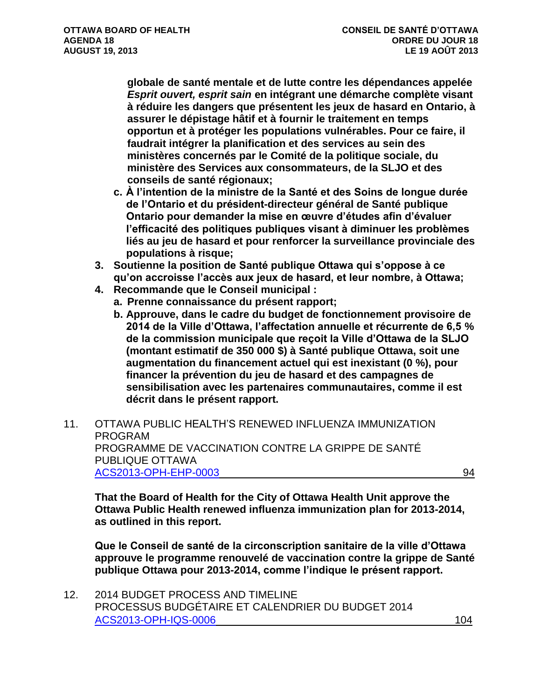**globale de santé mentale et de lutte contre les dépendances appelée**  *Esprit ouvert, esprit sain* **en intégrant une démarche complète visant à réduire les dangers que présentent les jeux de hasard en Ontario, à assurer le dépistage hâtif et à fournir le traitement en temps opportun et à protéger les populations vulnérables. Pour ce faire, il faudrait intégrer la planification et des services au sein des ministères concernés par le Comité de la politique sociale, du ministère des Services aux consommateurs, de la SLJO et des conseils de santé régionaux;**

- **c. À l'intention de la ministre de la Santé et des Soins de longue durée de l'Ontario et du président-directeur général de Santé publique Ontario pour demander la mise en œuvre d'études afin d'évaluer l'efficacité des politiques publiques visant à diminuer les problèmes liés au jeu de hasard et pour renforcer la surveillance provinciale des populations à risque;**
- **3. Soutienne la position de Santé publique Ottawa qui s'oppose à ce qu'on accroisse l'accès aux jeux de hasard, et leur nombre, à Ottawa;**
- **4. Recommande que le Conseil municipal :**
	- **a. Prenne connaissance du présent rapport;**
		- **b. Approuve, dans le cadre du budget de fonctionnement provisoire de 2014 de la Ville d'Ottawa, l'affectation annuelle et récurrente de 6,5 % de la commission municipale que reçoit la Ville d'Ottawa de la SLJO (montant estimatif de 350 000 \$) à Santé publique Ottawa, soit une augmentation du financement actuel qui est inexistant (0 %), pour financer la prévention du jeu de hasard et des campagnes de sensibilisation avec les partenaires communautaires, comme il est décrit dans le présent rapport.**
- 11. OTTAWA PUBLIC HEALTH'S RENEWED INFLUENZA IMMUNIZATION PROGRAM PROGRAMME DE VACCINATION CONTRE LA GRIPPE DE SANTÉ PUBLIQUE OTTAWA [ACS2013-OPH-EHP-0003](http://ottawa.ca/calendar/ottawa/citycouncil/obh/2013/08-19/Flu%20Report.pdf) 94

**That the Board of Health for the City of Ottawa Health Unit approve the Ottawa Public Health renewed influenza immunization plan for 2013-2014, as outlined in this report.**

**Que le Conseil de santé de la circonscription sanitaire de la ville d'Ottawa approuve le programme renouvelé de vaccination contre la grippe de Santé publique Ottawa pour 2013-2014, comme l'indique le présent rapport.**

12. 2014 BUDGET PROCESS AND TIMELINE PROCESSUS BUDGÉTAIRE ET CALENDRIER DU BUDGET 2014 [ACS2013-OPH-IQS-0006](http://ottawa.ca/calendar/ottawa/citycouncil/obh/2013/08-19/Budget%20Process%20and%20Timelines%20Report.pdf) 104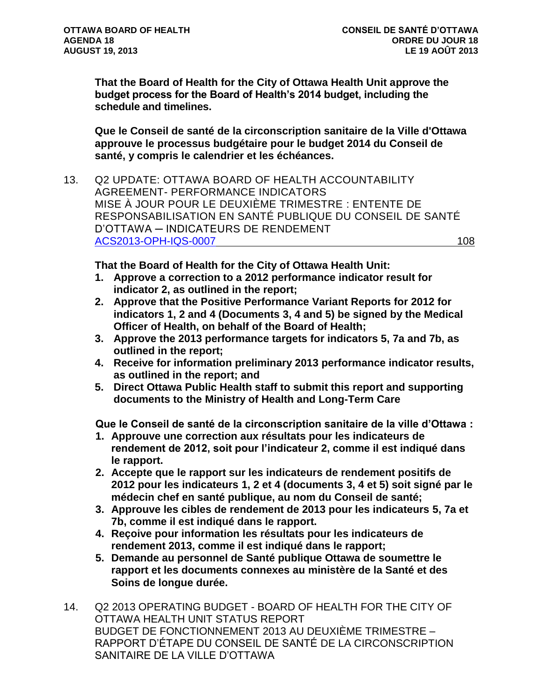**That the Board of Health for the City of Ottawa Health Unit approve the budget process for the Board of Health's 2014 budget, including the schedule and timelines.**

**Que le Conseil de santé de la circonscription sanitaire de la Ville d'Ottawa approuve le processus budgétaire pour le budget 2014 du Conseil de santé, y compris le calendrier et les échéances.** 

13. Q2 UPDATE: OTTAWA BOARD OF HEALTH ACCOUNTABILITY AGREEMENT- PERFORMANCE INDICATORS MISE À JOUR POUR LE DEUXIÈME TRIMESTRE : ENTENTE DE RESPONSABILISATION EN SANTÉ PUBLIQUE DU CONSEIL DE SANTÉ D'OTTAWA ─ INDICATEURS DE RENDEMENT [ACS2013-OPH-IQS-0007](http://ottawa.ca/calendar/ottawa/citycouncil/obh/2013/08-19/Acountability%20Agreement%20Report.pdf) 108

**That the Board of Health for the City of Ottawa Health Unit:**

- **1. Approve a correction to a 2012 performance indicator result for indicator 2, as outlined in the report;**
- **2. Approve that the Positive Performance Variant Reports for 2012 for indicators 1, 2 and 4 (Documents 3, 4 and 5) be signed by the Medical Officer of Health, on behalf of the Board of Health;**
- **3. Approve the 2013 performance targets for indicators 5, 7a and 7b, as outlined in the report;**
- **4. Receive for information preliminary 2013 performance indicator results, as outlined in the report; and**
- **5. Direct Ottawa Public Health staff to submit this report and supporting documents to the Ministry of Health and Long-Term Care**

**Que le Conseil de santé de la circonscription sanitaire de la ville d'Ottawa :**

- **1. Approuve une correction aux résultats pour les indicateurs de rendement de 2012, soit pour l'indicateur 2, comme il est indiqué dans le rapport.**
- **2. Accepte que le rapport sur les indicateurs de rendement positifs de 2012 pour les indicateurs 1, 2 et 4 (documents 3, 4 et 5) soit signé par le médecin chef en santé publique, au nom du Conseil de santé;**
- **3. Approuve les cibles de rendement de 2013 pour les indicateurs 5, 7a et 7b, comme il est indiqué dans le rapport.**
- **4. Reçoive pour information les résultats pour les indicateurs de rendement 2013, comme il est indiqué dans le rapport;**
- **5. Demande au personnel de Santé publique Ottawa de soumettre le rapport et les documents connexes au ministère de la Santé et des Soins de longue durée.**
- 14. Q2 2013 OPERATING BUDGET BOARD OF HEALTH FOR THE CITY OF OTTAWA HEALTH UNIT STATUS REPORT BUDGET DE FONCTIONNEMENT 2013 AU DEUXIÈME TRIMESTRE – RAPPORT D'ÉTAPE DU CONSEIL DE SANTÉ DE LA CIRCONSCRIPTION SANITAIRE DE LA VILLE D'OTTAWA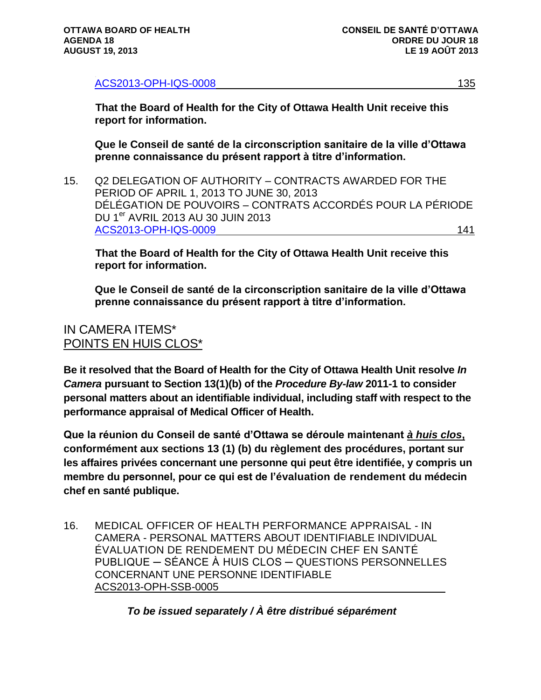[ACS2013-OPH-IQS-0008](http://ottawa.ca/calendar/ottawa/citycouncil/obh/2013/08-19/Q2%20Operating%20Budget%20Report.pdf) 135

**That the Board of Health for the City of Ottawa Health Unit receive this report for information.** 

**Que le Conseil de santé de la circonscription sanitaire de la ville d'Ottawa prenne connaissance du présent rapport à titre d'information.**

15. Q2 DELEGATION OF AUTHORITY – CONTRACTS AWARDED FOR THE PERIOD OF APRIL 1, 2013 TO JUNE 30, 2013 DÉLÉGATION DE POUVOIRS – CONTRATS ACCORDÉS POUR LA PÉRIODE DU 1<sup>er</sup> AVRIL 2013 AU 30 JUIN 2013 [ACS2013-OPH-IQS-0009](http://ottawa.ca/calendar/ottawa/citycouncil/obh/2013/08-19/Delegation%20of%20Authority%20Report.pdf) 141

**That the Board of Health for the City of Ottawa Health Unit receive this report for information.** 

**Que le Conseil de santé de la circonscription sanitaire de la ville d'Ottawa prenne connaissance du présent rapport à titre d'information.**

### IN CAMERA ITEMS\* POINTS EN HUIS CLOS\*

**Be it resolved that the Board of Health for the City of Ottawa Health Unit resolve** *In Camera* **pursuant to Section 13(1)(b) of the** *Procedure By-law* **2011-1 to consider personal matters about an identifiable individual, including staff with respect to the performance appraisal of Medical Officer of Health.**

**Que la réunion du Conseil de santé d'Ottawa se déroule maintenant** *à huis clos***, conformément aux sections 13 (1) (b) du règlement des procédures, portant sur les affaires privées concernant une personne qui peut être identifiée, y compris un membre du personnel, pour ce qui est de l'évaluation de rendement du médecin chef en santé publique.**

16. MEDICAL OFFICER OF HEALTH PERFORMANCE APPRAISAL - IN CAMERA - PERSONAL MATTERS ABOUT IDENTIFIABLE INDIVIDUAL ÉVALUATION DE RENDEMENT DU MÉDECIN CHEF EN SANTÉ PUBLIQUE ─ SÉANCE À HUIS CLOS ─ QUESTIONS PERSONNELLES CONCERNANT UNE PERSONNE IDENTIFIABLE ACS2013-OPH-SSB-0005

*To be issued separately / À être distribué séparément*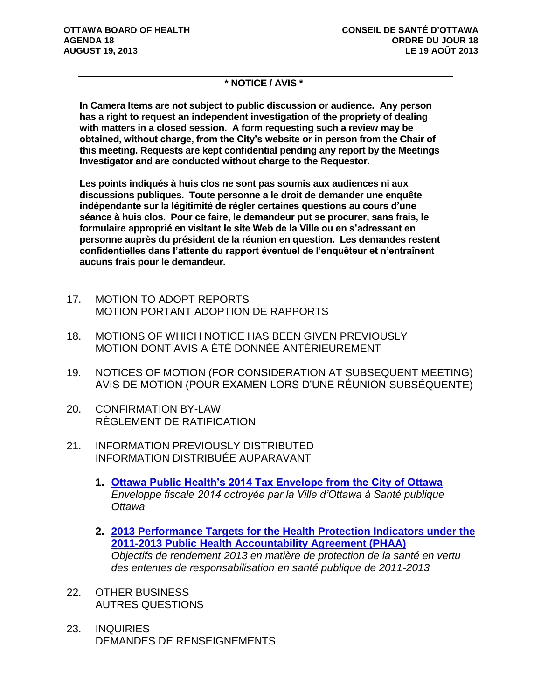#### **\* NOTICE / AVIS \***

**In Camera Items are not subject to public discussion or audience. Any person has a right to request an independent investigation of the propriety of dealing with matters in a closed session. A form requesting such a review may be obtained, without charge, from the City's website or in person from the Chair of this meeting. Requests are kept confidential pending any report by the Meetings Investigator and are conducted without charge to the Requestor.**

**Les points indiqués à huis clos ne sont pas soumis aux audiences ni aux discussions publiques. Toute personne a le droit de demander une enquête indépendante sur la légitimité de régler certaines questions au cours d'une séance à huis clos. Pour ce faire, le demandeur put se procurer, sans frais, le formulaire approprié en visitant le site Web de la Ville ou en s'adressant en personne auprès du président de la réunion en question. Les demandes restent confidentielles dans l'attente du rapport éventuel de l'enquêteur et n'entraînent aucuns frais pour le demandeur.**

- 17. MOTION TO ADOPT REPORTS MOTION PORTANT ADOPTION DE RAPPORTS
- 18. MOTIONS OF WHICH NOTICE HAS BEEN GIVEN PREVIOUSLY MOTION DONT AVIS A ÉTÉ DONNÉE ANTÉRIEUREMENT
- 19. NOTICES OF MOTION (FOR CONSIDERATION AT SUBSEQUENT MEETING) AVIS DE MOTION (POUR EXAMEN LORS D'UNE RÉUNION SUBSÉQUENTE)
- 20. CONFIRMATION BY-LAW RÈGLEMENT DE RATIFICATION
- 21. INFORMATION PREVIOUSLY DISTRIBUTED INFORMATION DISTRIBUÉE AUPARAVANT
	- **1. [Ottawa Public Health's 2014 Tax Envelope from the City of Ottawa](http://ottawa.ca/calendar/ottawa/citycouncil/obh/2013/08-19/IPD%20MEMO%201.pdf)** *Enveloppe fiscale 2014 octroyée par la Ville d'Ottawa à Santé publique Ottawa*
	- **2. [2013 Performance Targets for the Health Protection Indicators under the](http://ottawa.ca/calendar/ottawa/citycouncil/obh/2013/08-19/IPD%20MEMO%202.pdf)  [2011-2013 Public Health Accountability Agreement \(PHAA\)](http://ottawa.ca/calendar/ottawa/citycouncil/obh/2013/08-19/IPD%20MEMO%202.pdf)** *Objectifs de rendement 2013 en matière de protection de la santé en vertu des ententes de responsabilisation en santé publique de 2011-2013*
- 22. OTHER BUSINESS AUTRES QUESTIONS
- 23. INQUIRIES DEMANDES DE RENSEIGNEMENTS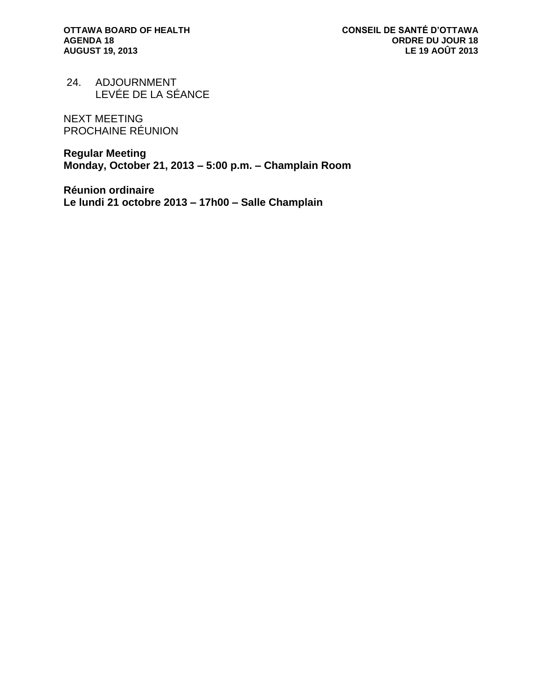24. ADJOURNMENT LEVÉE DE LA SÉANCE

NEXT MEETING PROCHAINE RÉUNION

**Regular Meeting Monday, October 21, 2013 – 5:00 p.m. – Champlain Room**

**Réunion ordinaire Le lundi 21 octobre 2013 – 17h00 – Salle Champlain**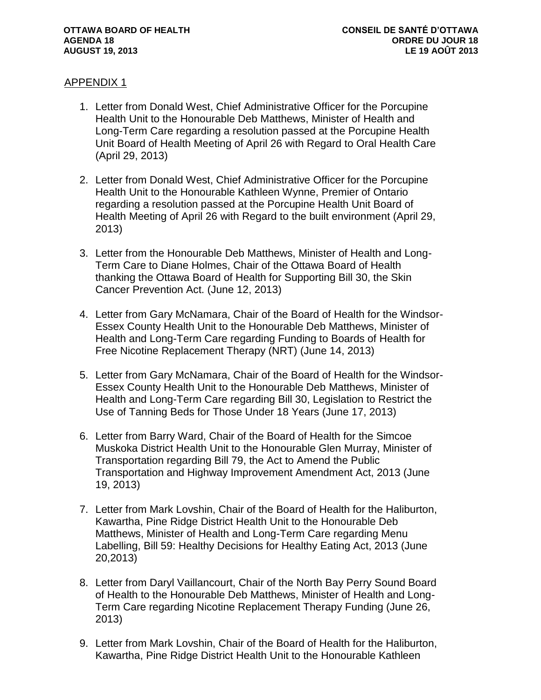#### APPENDIX 1

- 1. Letter from Donald West, Chief Administrative Officer for the Porcupine Health Unit to the Honourable Deb Matthews, Minister of Health and Long-Term Care regarding a resolution passed at the Porcupine Health Unit Board of Health Meeting of April 26 with Regard to Oral Health Care (April 29, 2013)
- 2. Letter from Donald West, Chief Administrative Officer for the Porcupine Health Unit to the Honourable Kathleen Wynne, Premier of Ontario regarding a resolution passed at the Porcupine Health Unit Board of Health Meeting of April 26 with Regard to the built environment (April 29, 2013)
- 3. Letter from the Honourable Deb Matthews, Minister of Health and Long-Term Care to Diane Holmes, Chair of the Ottawa Board of Health thanking the Ottawa Board of Health for Supporting Bill 30, the Skin Cancer Prevention Act. (June 12, 2013)
- 4. Letter from Gary McNamara, Chair of the Board of Health for the Windsor-Essex County Health Unit to the Honourable Deb Matthews, Minister of Health and Long-Term Care regarding Funding to Boards of Health for Free Nicotine Replacement Therapy (NRT) (June 14, 2013)
- 5. Letter from Gary McNamara, Chair of the Board of Health for the Windsor-Essex County Health Unit to the Honourable Deb Matthews, Minister of Health and Long-Term Care regarding Bill 30, Legislation to Restrict the Use of Tanning Beds for Those Under 18 Years (June 17, 2013)
- 6. Letter from Barry Ward, Chair of the Board of Health for the Simcoe Muskoka District Health Unit to the Honourable Glen Murray, Minister of Transportation regarding Bill 79, the Act to Amend the Public Transportation and Highway Improvement Amendment Act, 2013 (June 19, 2013)
- 7. Letter from Mark Lovshin, Chair of the Board of Health for the Haliburton, Kawartha, Pine Ridge District Health Unit to the Honourable Deb Matthews, Minister of Health and Long-Term Care regarding Menu Labelling, Bill 59: Healthy Decisions for Healthy Eating Act, 2013 (June 20,2013)
- 8. Letter from Daryl Vaillancourt, Chair of the North Bay Perry Sound Board of Health to the Honourable Deb Matthews, Minister of Health and Long-Term Care regarding Nicotine Replacement Therapy Funding (June 26, 2013)
- 9. Letter from Mark Lovshin, Chair of the Board of Health for the Haliburton, Kawartha, Pine Ridge District Health Unit to the Honourable Kathleen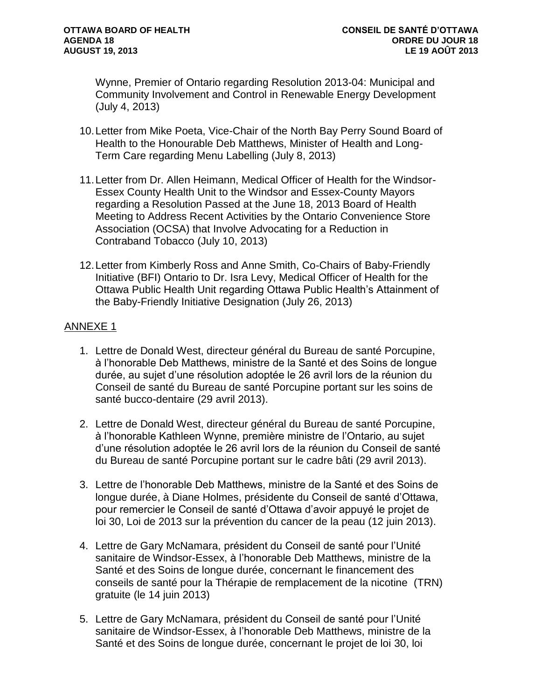Wynne, Premier of Ontario regarding Resolution 2013-04: Municipal and Community Involvement and Control in Renewable Energy Development (July 4, 2013)

- 10.Letter from Mike Poeta, Vice-Chair of the North Bay Perry Sound Board of Health to the Honourable Deb Matthews, Minister of Health and Long-Term Care regarding Menu Labelling (July 8, 2013)
- 11.Letter from Dr. Allen Heimann, Medical Officer of Health for the Windsor-Essex County Health Unit to the Windsor and Essex-County Mayors regarding a Resolution Passed at the June 18, 2013 Board of Health Meeting to Address Recent Activities by the Ontario Convenience Store Association (OCSA) that Involve Advocating for a Reduction in Contraband Tobacco (July 10, 2013)
- 12.Letter from Kimberly Ross and Anne Smith, Co-Chairs of Baby-Friendly Initiative (BFI) Ontario to Dr. Isra Levy, Medical Officer of Health for the Ottawa Public Health Unit regarding Ottawa Public Health's Attainment of the Baby-Friendly Initiative Designation (July 26, 2013)

#### ANNEXE 1

- 1. Lettre de Donald West, directeur général du Bureau de santé Porcupine, à l'honorable Deb Matthews, ministre de la Santé et des Soins de longue durée, au sujet d'une résolution adoptée le 26 avril lors de la réunion du Conseil de santé du Bureau de santé Porcupine portant sur les soins de santé bucco-dentaire (29 avril 2013).
- 2. Lettre de Donald West, directeur général du Bureau de santé Porcupine, à l'honorable Kathleen Wynne, première ministre de l'Ontario, au sujet d'une résolution adoptée le 26 avril lors de la réunion du Conseil de santé du Bureau de santé Porcupine portant sur le cadre bâti (29 avril 2013).
- 3. Lettre de l'honorable Deb Matthews, ministre de la Santé et des Soins de longue durée, à Diane Holmes, présidente du Conseil de santé d'Ottawa, pour remercier le Conseil de santé d'Ottawa d'avoir appuyé le projet de loi 30, Loi de 2013 sur la prévention du cancer de la peau (12 juin 2013).
- 4. Lettre de Gary McNamara, président du Conseil de santé pour l'Unité sanitaire de Windsor-Essex, à l'honorable Deb Matthews, ministre de la Santé et des Soins de longue durée, concernant le financement des conseils de santé pour la Thérapie de remplacement de la nicotine (TRN) gratuite (le 14 juin 2013)
- 5. Lettre de Gary McNamara, président du Conseil de santé pour l'Unité sanitaire de Windsor-Essex, à l'honorable Deb Matthews, ministre de la Santé et des Soins de longue durée, concernant le projet de loi 30, loi